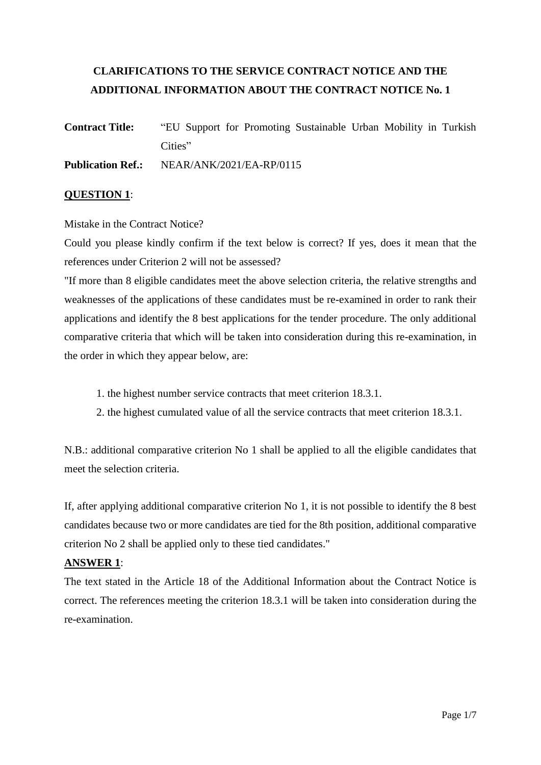# **CLARIFICATIONS TO THE SERVICE CONTRACT NOTICE AND THE ADDITIONAL INFORMATION ABOUT THE CONTRACT NOTICE No. 1**

**Contract Title:** "EU Support for Promoting Sustainable Urban Mobility in Turkish Cities"

**Publication Ref.:** NEAR/ANK/2021/EA-RP/0115

### **QUESTION 1**:

Mistake in the Contract Notice?

Could you please kindly confirm if the text below is correct? If yes, does it mean that the references under Criterion 2 will not be assessed?

"If more than 8 eligible candidates meet the above selection criteria, the relative strengths and weaknesses of the applications of these candidates must be re-examined in order to rank their applications and identify the 8 best applications for the tender procedure. The only additional comparative criteria that which will be taken into consideration during this re-examination, in the order in which they appear below, are:

- 1. the highest number service contracts that meet criterion 18.3.1.
- 2. the highest cumulated value of all the service contracts that meet criterion 18.3.1.

N.B.: additional comparative criterion No 1 shall be applied to all the eligible candidates that meet the selection criteria.

If, after applying additional comparative criterion No 1, it is not possible to identify the 8 best candidates because two or more candidates are tied for the 8th position, additional comparative criterion No 2 shall be applied only to these tied candidates."

#### **ANSWER 1**:

The text stated in the Article 18 of the Additional Information about the Contract Notice is correct. The references meeting the criterion 18.3.1 will be taken into consideration during the re-examination.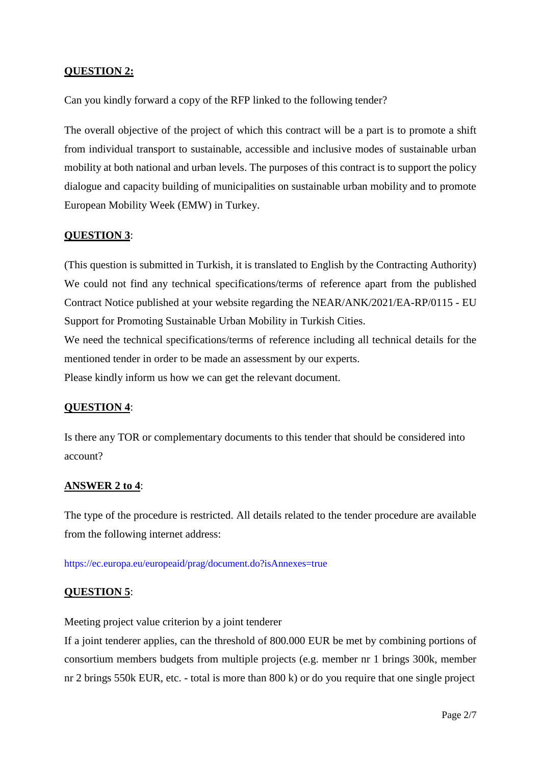## **QUESTION 2:**

Can you kindly forward a copy of the RFP linked to the following tender?

The overall objective of the project of which this contract will be a part is to promote a shift from individual transport to sustainable, accessible and inclusive modes of sustainable urban mobility at both national and urban levels. The purposes of this contract is to support the policy dialogue and capacity building of municipalities on sustainable urban mobility and to promote European Mobility Week (EMW) in Turkey.

### **QUESTION 3**:

(This question is submitted in Turkish, it is translated to English by the Contracting Authority) We could not find any technical specifications/terms of reference apart from the published Contract Notice published at your website regarding the NEAR/ANK/2021/EA-RP/0115 - EU Support for Promoting Sustainable Urban Mobility in Turkish Cities. We need the technical specifications/terms of reference including all technical details for the mentioned tender in order to be made an assessment by our experts.

Please kindly inform us how we can get the relevant document.

#### **QUESTION 4**:

Is there any TOR or complementary documents to this tender that should be considered into account?

## **ANSWER 2 to 4**:

The type of the procedure is restricted. All details related to the tender procedure are available from the following internet address:

https://ec.europa.eu/europeaid/prag/document.do?isAnnexes=true

#### **QUESTION 5**:

Meeting project value criterion by a joint tenderer

If a joint tenderer applies, can the threshold of 800.000 EUR be met by combining portions of consortium members budgets from multiple projects (e.g. member nr 1 brings 300k, member nr 2 brings 550k EUR, etc. - total is more than 800 k) or do you require that one single project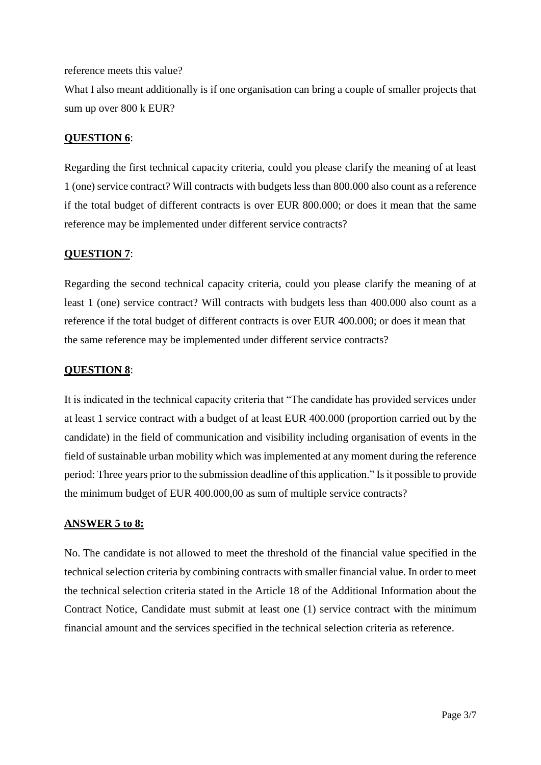reference meets this value?

What I also meant additionally is if one organisation can bring a couple of smaller projects that sum up over 800 k EUR?

### **QUESTION 6**:

Regarding the first technical capacity criteria, could you please clarify the meaning of at least 1 (one) service contract? Will contracts with budgets less than 800.000 also count as a reference if the total budget of different contracts is over EUR 800.000; or does it mean that the same reference may be implemented under different service contracts?

## **QUESTION 7**:

Regarding the second technical capacity criteria, could you please clarify the meaning of at least 1 (one) service contract? Will contracts with budgets less than 400.000 also count as a reference if the total budget of different contracts is over EUR 400.000; or does it mean that the same reference may be implemented under different service contracts?

## **QUESTION 8**:

It is indicated in the technical capacity criteria that "The candidate has provided services under at least 1 service contract with a budget of at least EUR 400.000 (proportion carried out by the candidate) in the field of communication and visibility including organisation of events in the field of sustainable urban mobility which was implemented at any moment during the reference period: Three years prior to the submission deadline of this application." Is it possible to provide the minimum budget of EUR 400.000,00 as sum of multiple service contracts?

#### **ANSWER 5 to 8:**

No. The candidate is not allowed to meet the threshold of the financial value specified in the technical selection criteria by combining contracts with smaller financial value. In order to meet the technical selection criteria stated in the Article 18 of the Additional Information about the Contract Notice, Candidate must submit at least one (1) service contract with the minimum financial amount and the services specified in the technical selection criteria as reference.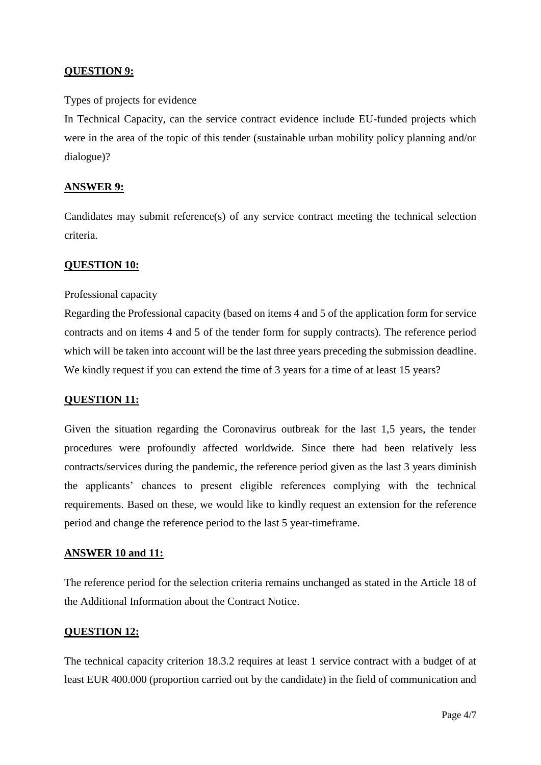## **QUESTION 9:**

### Types of projects for evidence

In Technical Capacity, can the service contract evidence include EU-funded projects which were in the area of the topic of this tender (sustainable urban mobility policy planning and/or dialogue)?

### **ANSWER 9:**

Candidates may submit reference(s) of any service contract meeting the technical selection criteria.

#### **QUESTION 10:**

#### Professional capacity

Regarding the Professional capacity (based on items 4 and 5 of the application form for service contracts and on items 4 and 5 of the tender form for supply contracts). The reference period which will be taken into account will be the last three years preceding the submission deadline. We kindly request if you can extend the time of 3 years for a time of at least 15 years?

## **QUESTION 11:**

Given the situation regarding the Coronavirus outbreak for the last 1,5 years, the tender procedures were profoundly affected worldwide. Since there had been relatively less contracts/services during the pandemic, the reference period given as the last 3 years diminish the applicants' chances to present eligible references complying with the technical requirements. Based on these, we would like to kindly request an extension for the reference period and change the reference period to the last 5 year-timeframe.

#### **ANSWER 10 and 11:**

The reference period for the selection criteria remains unchanged as stated in the Article 18 of the Additional Information about the Contract Notice.

#### **QUESTION 12:**

The technical capacity criterion 18.3.2 requires at least 1 service contract with a budget of at least EUR 400.000 (proportion carried out by the candidate) in the field of communication and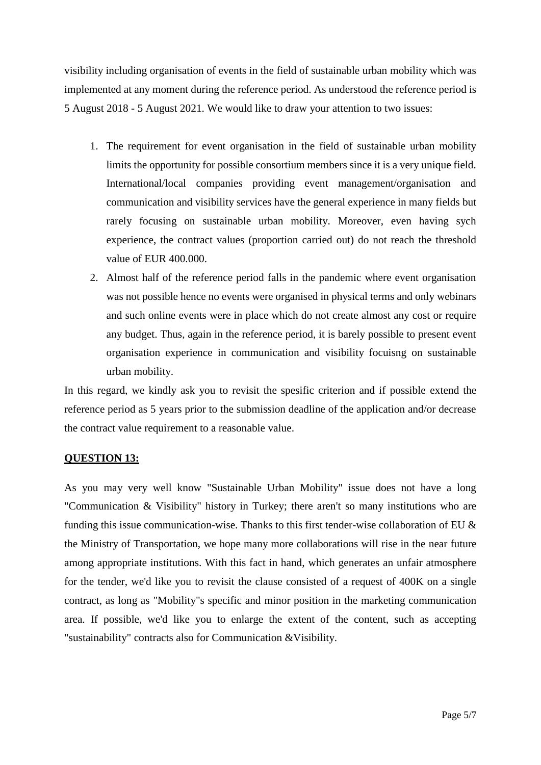visibility including organisation of events in the field of sustainable urban mobility which was implemented at any moment during the reference period. As understood the reference period is 5 August 2018 - 5 August 2021. We would like to draw your attention to two issues:

- 1. The requirement for event organisation in the field of sustainable urban mobility limits the opportunity for possible consortium members since it is a very unique field. International/local companies providing event management/organisation and communication and visibility services have the general experience in many fields but rarely focusing on sustainable urban mobility. Moreover, even having sych experience, the contract values (proportion carried out) do not reach the threshold value of EUR 400.000.
- 2. Almost half of the reference period falls in the pandemic where event organisation was not possible hence no events were organised in physical terms and only webinars and such online events were in place which do not create almost any cost or require any budget. Thus, again in the reference period, it is barely possible to present event organisation experience in communication and visibility focuisng on sustainable urban mobility.

In this regard, we kindly ask you to revisit the spesific criterion and if possible extend the reference period as 5 years prior to the submission deadline of the application and/or decrease the contract value requirement to a reasonable value.

## **QUESTION 13:**

As you may very well know "Sustainable Urban Mobility" issue does not have a long "Communication & Visibility" history in Turkey; there aren't so many institutions who are funding this issue communication-wise. Thanks to this first tender-wise collaboration of EU  $\&$ the Ministry of Transportation, we hope many more collaborations will rise in the near future among appropriate institutions. With this fact in hand, which generates an unfair atmosphere for the tender, we'd like you to revisit the clause consisted of a request of 400K on a single contract, as long as "Mobility"s specific and minor position in the marketing communication area. If possible, we'd like you to enlarge the extent of the content, such as accepting "sustainability" contracts also for Communication &Visibility.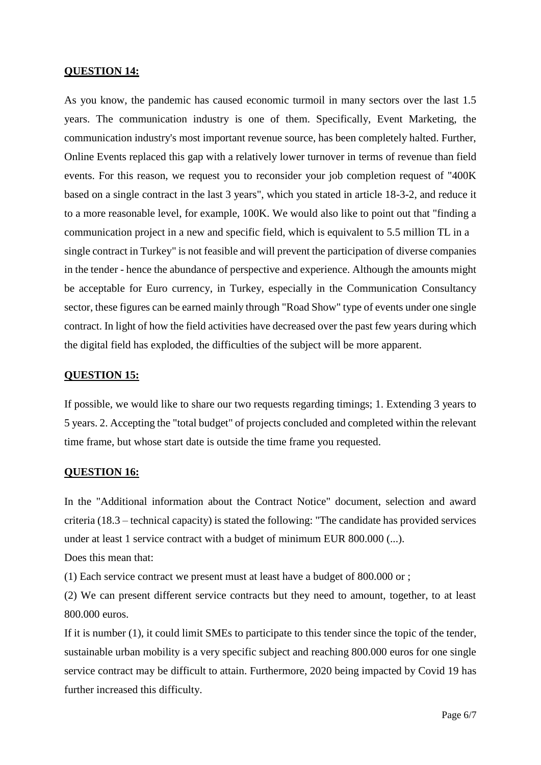#### **QUESTION 14:**

As you know, the pandemic has caused economic turmoil in many sectors over the last 1.5 years. The communication industry is one of them. Specifically, Event Marketing, the communication industry's most important revenue source, has been completely halted. Further, Online Events replaced this gap with a relatively lower turnover in terms of revenue than field events. For this reason, we request you to reconsider your job completion request of "400K based on a single contract in the last 3 years", which you stated in article 18-3-2, and reduce it to a more reasonable level, for example, 100K. We would also like to point out that "finding a communication project in a new and specific field, which is equivalent to 5.5 million TL in a single contract in Turkey" is not feasible and will prevent the participation of diverse companies in the tender - hence the abundance of perspective and experience. Although the amounts might be acceptable for Euro currency, in Turkey, especially in the Communication Consultancy sector, these figures can be earned mainly through "Road Show" type of events under one single contract. In light of how the field activities have decreased over the past few years during which the digital field has exploded, the difficulties of the subject will be more apparent.

#### **QUESTION 15:**

If possible, we would like to share our two requests regarding timings; 1. Extending 3 years to 5 years. 2. Accepting the "total budget" of projects concluded and completed within the relevant time frame, but whose start date is outside the time frame you requested.

#### **QUESTION 16:**

In the "Additional information about the Contract Notice" document, selection and award criteria (18.3 – technical capacity) is stated the following: "The candidate has provided services under at least 1 service contract with a budget of minimum EUR 800.000 (...).

Does this mean that:

(1) Each service contract we present must at least have a budget of 800.000 or ;

(2) We can present different service contracts but they need to amount, together, to at least 800.000 euros.

If it is number (1), it could limit SMEs to participate to this tender since the topic of the tender, sustainable urban mobility is a very specific subject and reaching 800.000 euros for one single service contract may be difficult to attain. Furthermore, 2020 being impacted by Covid 19 has further increased this difficulty.